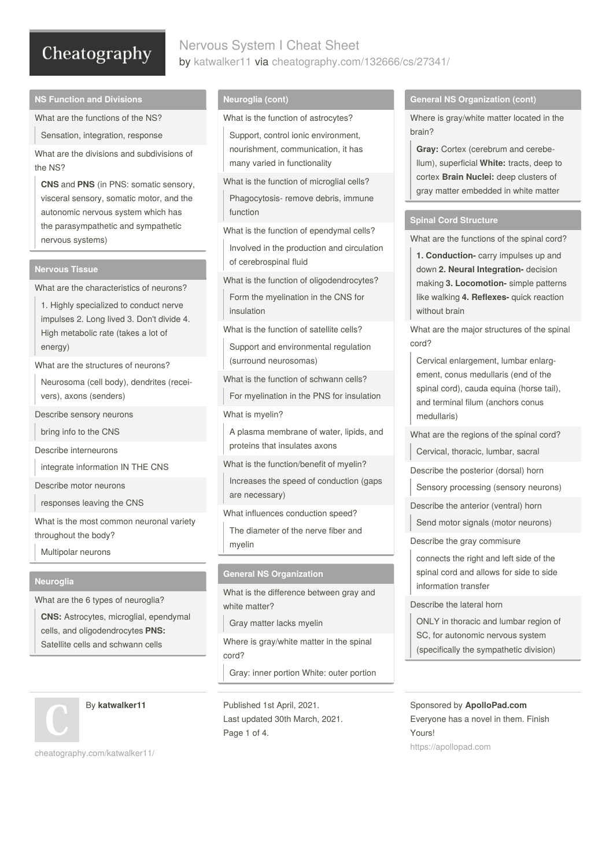# Nervous System I Cheat Sheet by [katwalker11](http://www.cheatography.com/katwalker11/) via [cheatography.com/132666/cs/27341/](http://www.cheatography.com/katwalker11/cheat-sheets/nervous-system-i)

#### **NS Function and Divisions**

What are the functions of the NS?

Sensation, integration, response

What are the divisions and subdivisions of the NS?

**CNS** and **PNS** (in PNS: somatic sensory, visceral sensory, somatic motor, and the autonomic nervous system which has the parasympathetic and sympathetic nervous systems)

#### **Nervous Tissue**

What are the characteristics of neurons?

1. Highly specialized to conduct nerve impulses 2. Long lived 3. Don't divide 4. High metabolic rate (takes a lot of energy)

What are the structures of neurons?

Neurosoma (cell body), dendrites (recei‐ vers), axons (senders)

Describe sensory neurons

bring info to the CNS

Describe interneurons

integrate information IN THE CNS

Describe motor neurons

responses leaving the CNS

What is the most common neuronal variety throughout the body?

Multipolar neurons

#### **Neuroglia**

What are the 6 types of neuroglia?

**CNS:** Astrocytes, microglial, ependymal cells, and oligodendrocytes **PNS:** Satellite cells and schwann cells

# By **katwalker11**

[cheatography.com/katwalker11/](http://www.cheatography.com/katwalker11/)

### **Neuroglia (cont)**

What is the function of astrocytes?

Support, control ionic environment, nourishment, communication, it has many varied in functionality

What is the function of microglial cells?

Phagocytosis- remove debris, immune function

What is the function of ependymal cells?

Involved in the production and circulation of cerebrospinal fluid

What is the function of oligodendrocytes? Form the myelination in the CNS for insulation

What is the function of satellite cells?

Support and environmental regulation (surround neurosomas)

What is the function of schwann cells?

For myelination in the PNS for insulation

What is myelin?

A plasma membrane of water, lipids, and proteins that insulates axons

What is the function/benefit of myelin?

Increases the speed of conduction (gaps are necessary)

What influences conduction speed?

The diameter of the nerve fiber and myelin

### **General NS Organization**

What is the difference between gray and white matter?

Gray matter lacks myelin

Where is gray/white matter in the spinal cord?

Gray: inner portion White: outer portion

Published 1st April, 2021. Last updated 30th March, 2021. Page 1 of 4.

# **General NS Organization (cont)**

Where is gray/white matter located in the brain?

**Gray:** Cortex (cerebrum and cerebe‐ llum), superficial **White:** tracts, deep to cortex **Brain Nuclei:** deep clusters of gray matter embedded in white matter

# **Spinal Cord Structure**

What are the functions of the spinal cord?

**1. Conduction-** carry impulses up and down **2. Neural Integration-** decision making **3. Locomotion-** simple patterns like walking **4. Reflexes-** quick reaction without brain

What are the major structures of the spinal cord?

Cervical enlargement, lumbar enlarg‐ ement, conus medullaris (end of the spinal cord), cauda equina (horse tail), and terminal filum (anchors conus medullaris)

What are the regions of the spinal cord?

Cervical, thoracic, lumbar, sacral

Describe the posterior (dorsal) horn

Sensory processing (sensory neurons)

Describe the anterior (ventral) horn

Send motor signals (motor neurons)

Describe the gray commisure

connects the right and left side of the spinal cord and allows for side to side information transfer

Describe the lateral horn

ONLY in thoracic and lumbar region of SC, for autonomic nervous system (specifically the sympathetic division)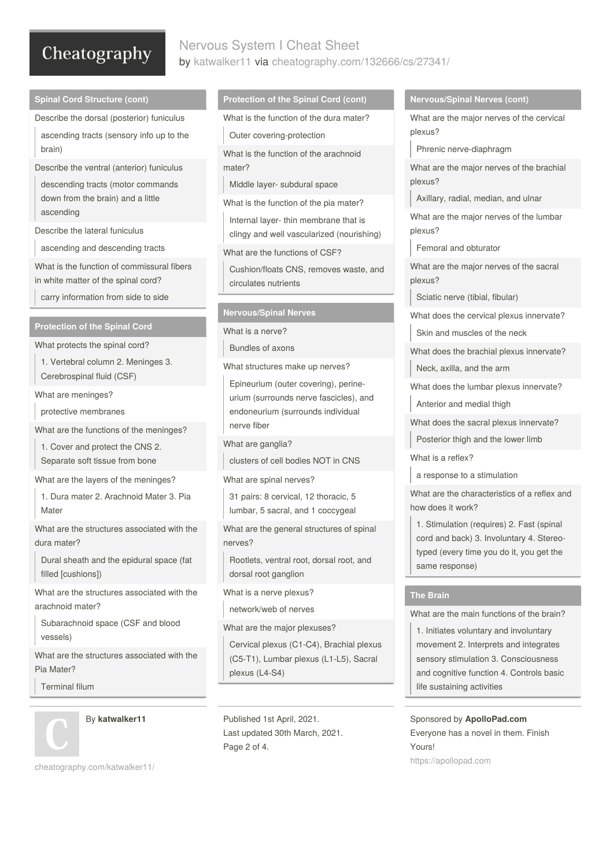# Nervous System I Cheat Sheet by [katwalker11](http://www.cheatography.com/katwalker11/) via [cheatography.com/132666/cs/27341/](http://www.cheatography.com/katwalker11/cheat-sheets/nervous-system-i)

#### **Spinal Cord Structure (cont)**

Describe the dorsal (posterior) funiculus ascending tracts (sensory info up to the brain)

Describe the ventral (anterior) funiculus

descending tracts (motor commands down from the brain) and a little ascending

Describe the lateral funiculus

ascending and descending tracts

What is the function of commissural fibers in white matter of the spinal cord?

carry information from side to side

### **Protection of the Spinal Cord**

What protects the spinal cord?

1. Vertebral column 2. Meninges 3. Cerebrospinal fluid (CSF)

What are meninges?

protective membranes

What are the functions of the meninges?

1. Cover and protect the CNS 2.

Separate soft tissue from bone

What are the layers of the meninges?

1. Dura mater 2. Arachnoid Mater 3. Pia Mater

What are the structures associated with the dura mater?

Dural sheath and the epidural space (fat filled [cushions])

What are the structures associated with the arachnoid mater?

Subarachnoid space (CSF and blood vessels)

What are the structures associated with the Pia Mater?

Terminal filum



By **katwalker11**

[cheatography.com/katwalker11/](http://www.cheatography.com/katwalker11/)

## **Protection of the Spinal Cord (cont)**

What is the function of the dura mater?

Outer covering-protection

What is the function of the arachnoid mater?

Middle layer- subdural space

What is the function of the pia mater?

Internal layer- thin membrane that is clingy and well vascularized (nourishing)

What are the functions of CSF?

Cushion/floats CNS, removes waste, and circulates nutrients

# **Nervous/Spinal Nerves**

What is a nerve?

Bundles of axons

What structures make up nerves?

Epineurium (outer covering), perine‐ urium (surrounds nerve fascicles), and endoneurium (surrounds individual nerve fiber

What are ganglia?

clusters of cell bodies NOT in CNS

What are spinal nerves?

31 pairs: 8 cervical, 12 thoracic, 5 lumbar, 5 sacral, and 1 coccygeal

What are the general structures of spinal nerves?

Rootlets, ventral root, dorsal root, and dorsal root ganglion

What is a nerve plexus?

network/web of nerves

What are the major plexuses?

Cervical plexus (C1-C4), Brachial plexus (C5-T1), Lumbar plexus (L1-L5), Sacral plexus (L4-S4)

Published 1st April, 2021. Last updated 30th March, 2021. Page 2 of 4.

### **Nervous/Spinal Nerves (cont)**

What are the major nerves of the cervical plexus?

Phrenic nerve-diaphragm

What are the major nerves of the brachial plexus?

Axillary, radial, median, and ulnar

What are the major nerves of the lumbar plexus?

Femoral and obturator

What are the major nerves of the sacral plexus?

Sciatic nerve (tibial, fibular)

What does the cervical plexus innervate?

Skin and muscles of the neck

What does the brachial plexus innervate?

Neck, axilla, and the arm

What does the lumbar plexus innervate?

Anterior and medial thigh

What does the sacral plexus innervate?

Posterior thigh and the lower limb

What is a reflex?

a response to a stimulation

What are the characteristics of a reflex and how does it work?

1. Stimulation (requires) 2. Fast (spinal cord and back) 3. Involuntary 4. Stereo‐ typed (every time you do it, you get the same response)

# **The Brain**

What are the main functions of the brain?

1. Initiates voluntary and involuntary movement 2. Interprets and integrates sensory stimulation 3. Consciousness and cognitive function 4. Controls basic life sustaining activities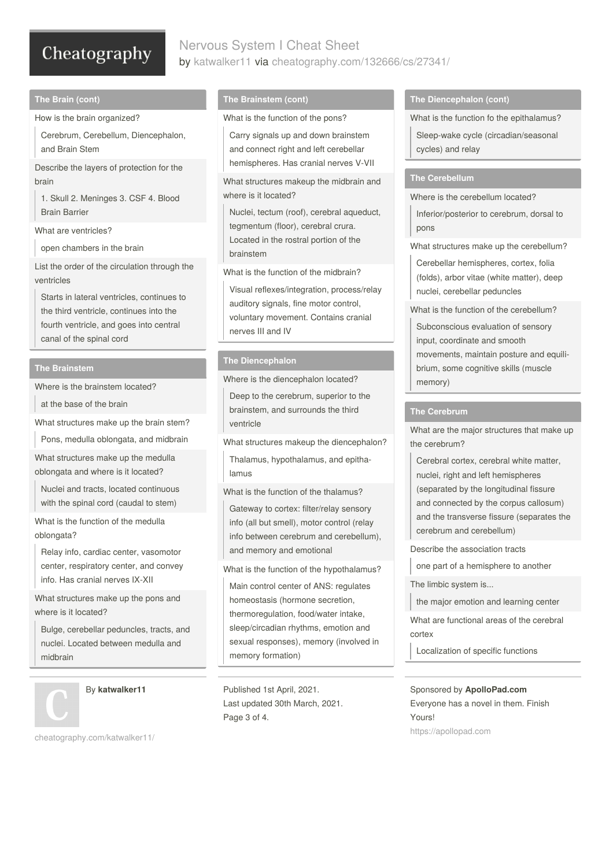# Nervous System I Cheat Sheet by [katwalker11](http://www.cheatography.com/katwalker11/) via [cheatography.com/132666/cs/27341/](http://www.cheatography.com/katwalker11/cheat-sheets/nervous-system-i)

### **The Brain (cont)**

How is the brain organized?

Cerebrum, Cerebellum, Diencephalon, and Brain Stem

Describe the layers of protection for the brain

1. Skull 2. Meninges 3. CSF 4. Blood Brain Barrier

What are ventricles?

open chambers in the brain

List the order of the circulation through the ventricles

Starts in lateral ventricles, continues to the third ventricle, continues into the fourth ventricle, and goes into central canal of the spinal cord

## **The Brainstem**

Where is the brainstem located?

at the base of the brain

What structures make up the brain stem?

Pons, medulla oblongata, and midbrain

What structures make up the medulla oblongata and where is it located?

Nuclei and tracts, located continuous with the spinal cord (caudal to stem)

What is the function of the medulla oblongata?

Relay info, cardiac center, vasomotor center, respiratory center, and convey info. Has cranial nerves IX-XII

What structures make up the pons and where is it located?

Bulge, cerebellar peduncles, tracts, and nuclei. Located between medulla and midbrain



By **katwalker11**

[cheatography.com/katwalker11/](http://www.cheatography.com/katwalker11/)

## **The Brainstem (cont)**

What is the function of the pons?

Carry signals up and down brainstem and connect right and left cerebellar hemispheres. Has cranial nerves V-VII

What structures makeup the midbrain and where is it located?

Nuclei, tectum (roof), cerebral aqueduct, tegmentum (floor), cerebral crura. Located in the rostral portion of the brainstem

What is the function of the midbrain?

Visual reflexes/integration, process/relay auditory signals, fine motor control, voluntary movement. Contains cranial nerves III and IV

# **The Diencephalon**

Where is the diencephalon located?

Deep to the cerebrum, superior to the brainstem, and surrounds the third ventricle

What structures makeup the diencephalon?

Thalamus, hypothalamus, and epitha‐ lamus

What is the function of the thalamus?

Gateway to cortex: filter/relay sensory info (all but smell), motor control (relay info between cerebrum and cerebellum), and memory and emotional

What is the function of the hypothalamus?

Main control center of ANS: regulates homeostasis (hormone secretion, thermoregulation, food/water intake, sleep/circadian rhythms, emotion and sexual responses), memory (involved in memory formation)

Published 1st April, 2021. Last updated 30th March, 2021. Page 3 of 4.

### **The Diencephalon (cont)**

What is the function fo the epithalamus?

Sleep-wake cycle (circadian/seasonal cycles) and relay

## **The Cerebellum**

Where is the cerebellum located?

Inferior/posterior to cerebrum, dorsal to pons

What structures make up the cerebellum?

Cerebellar hemispheres, cortex, folia (folds), arbor vitae (white matter), deep nuclei, cerebellar peduncles

What is the function of the cerebellum?

Subconscious evaluation of sensory input, coordinate and smooth movements, maintain posture and equili‐ brium, some cognitive skills (muscle memory)

### **The Cerebrum**

What are the major structures that make up the cerebrum?

Cerebral cortex, cerebral white matter, nuclei, right and left hemispheres (separated by the longitudinal fissure and connected by the corpus callosum) and the transverse fissure (separates the cerebrum and cerebellum)

Describe the association tracts

one part of a hemisphere to another

The limbic system is...

the major emotion and learning center

What are functional areas of the cerebral cortex

Localization of specific functions